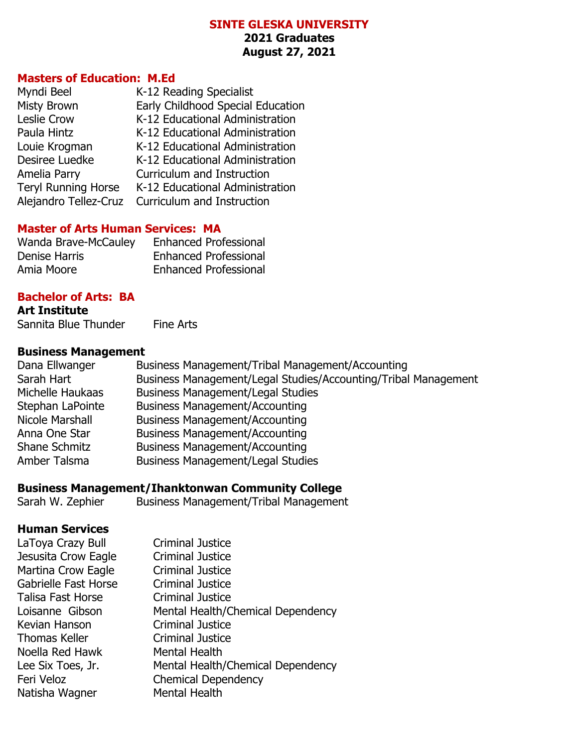#### **SINTE GLESKA UNIVERSITY 2021 Graduates August 27, 2021**

#### **Masters of Education: M.Ed**

| Myndi Beel                 | K-12 Reading Specialist           |
|----------------------------|-----------------------------------|
| <b>Misty Brown</b>         | Early Childhood Special Education |
| <b>Leslie Crow</b>         | K-12 Educational Administration   |
| Paula Hintz                | K-12 Educational Administration   |
| Louie Krogman              | K-12 Educational Administration   |
| Desiree Luedke             | K-12 Educational Administration   |
| Amelia Parry               | Curriculum and Instruction        |
| <b>Teryl Running Horse</b> | K-12 Educational Administration   |
| Alejandro Tellez-Cruz      | Curriculum and Instruction        |

#### **Master of Arts Human Services: MA**

| <b>Wanda Brave-McCauley</b> | <b>Enhanced Professional</b> |
|-----------------------------|------------------------------|
| Denise Harris               | <b>Enhanced Professional</b> |
| Amia Moore                  | <b>Enhanced Professional</b> |

#### **Bachelor of Arts: BA**

**Art Institute** Sannita Blue Thunder Fine Arts

#### **Business Management**

| Dana Ellwanger       | Business Management/Tribal Management/Accounting               |
|----------------------|----------------------------------------------------------------|
| Sarah Hart           | Business Management/Legal Studies/Accounting/Tribal Management |
| Michelle Haukaas     | <b>Business Management/Legal Studies</b>                       |
| Stephan LaPointe     | <b>Business Management/Accounting</b>                          |
| Nicole Marshall      | <b>Business Management/Accounting</b>                          |
| Anna One Star        | <b>Business Management/Accounting</b>                          |
| <b>Shane Schmitz</b> | <b>Business Management/Accounting</b>                          |
| Amber Talsma         | <b>Business Management/Legal Studies</b>                       |
|                      |                                                                |

# **Business Management/Ihanktonwan Community College**

Business Management/Tribal Management

#### **Human Services**

| <b>Criminal Justice</b>           |
|-----------------------------------|
| <b>Criminal Justice</b>           |
| <b>Criminal Justice</b>           |
| <b>Criminal Justice</b>           |
| <b>Criminal Justice</b>           |
| Mental Health/Chemical Dependency |
| <b>Criminal Justice</b>           |
| <b>Criminal Justice</b>           |
| Mental Health                     |
| Mental Health/Chemical Dependency |
| <b>Chemical Dependency</b>        |
| <b>Mental Health</b>              |
|                                   |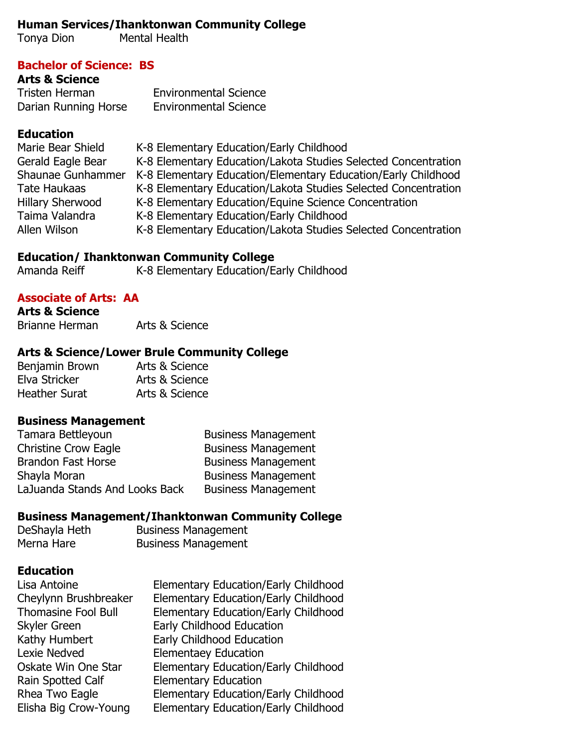## **Human Services/Ihanktonwan Community College**

Tonya Dion Mental Health

## **Bachelor of Science: BS**

## **Arts & Science**

Tristen Herman **Environmental Science**<br>
Darian Running Horse Environmental Science Darian Running Horse Environmental Science

# **Education**

| Marie Bear Shield       | K-8 Elementary Education/Early Childhood                       |
|-------------------------|----------------------------------------------------------------|
| Gerald Eagle Bear       | K-8 Elementary Education/Lakota Studies Selected Concentration |
| Shaunae Gunhammer       | K-8 Elementary Education/Elementary Education/Early Childhood  |
| Tate Haukaas            | K-8 Elementary Education/Lakota Studies Selected Concentration |
| <b>Hillary Sherwood</b> | K-8 Elementary Education/Equine Science Concentration          |
| Taima Valandra          | K-8 Elementary Education/Early Childhood                       |
| Allen Wilson            | K-8 Elementary Education/Lakota Studies Selected Concentration |

## **Education/ Ihanktonwan Community College**

Amanda Reiff K-8 Elementary Education/Early Childhood

# **Associate of Arts: AA**

**Arts & Science** Brianne Herman Arts & Science

# **Arts & Science/Lower Brule Community College**

| Benjamin Brown       | Arts & Science |
|----------------------|----------------|
| Elva Stricker        | Arts & Science |
| <b>Heather Surat</b> | Arts & Science |

### **Business Management**

| Tamara Bettleyoun              | <b>Business Management</b> |
|--------------------------------|----------------------------|
| <b>Christine Crow Eagle</b>    | <b>Business Management</b> |
| <b>Brandon Fast Horse</b>      | <b>Business Management</b> |
| Shayla Moran                   | <b>Business Management</b> |
| LaJuanda Stands And Looks Back | <b>Business Management</b> |

## **Business Management/Ihanktonwan Community College**

| DeShayla Heth | <b>Business Management</b> |
|---------------|----------------------------|
| Merna Hare    | <b>Business Management</b> |

### **Education**

| Lisa Antoine               | <b>Elementary Education/Early Childhood</b> |
|----------------------------|---------------------------------------------|
| Cheylynn Brushbreaker      | <b>Elementary Education/Early Childhood</b> |
| <b>Thomasine Fool Bull</b> | <b>Elementary Education/Early Childhood</b> |
| <b>Skyler Green</b>        | Early Childhood Education                   |
| Kathy Humbert              | Early Childhood Education                   |
| Lexie Nedved               | <b>Elementaey Education</b>                 |
| Oskate Win One Star        | <b>Elementary Education/Early Childhood</b> |
| Rain Spotted Calf          | <b>Elementary Education</b>                 |
| Rhea Two Eagle             | <b>Elementary Education/Early Childhood</b> |
| Elisha Big Crow-Young      | <b>Elementary Education/Early Childhood</b> |